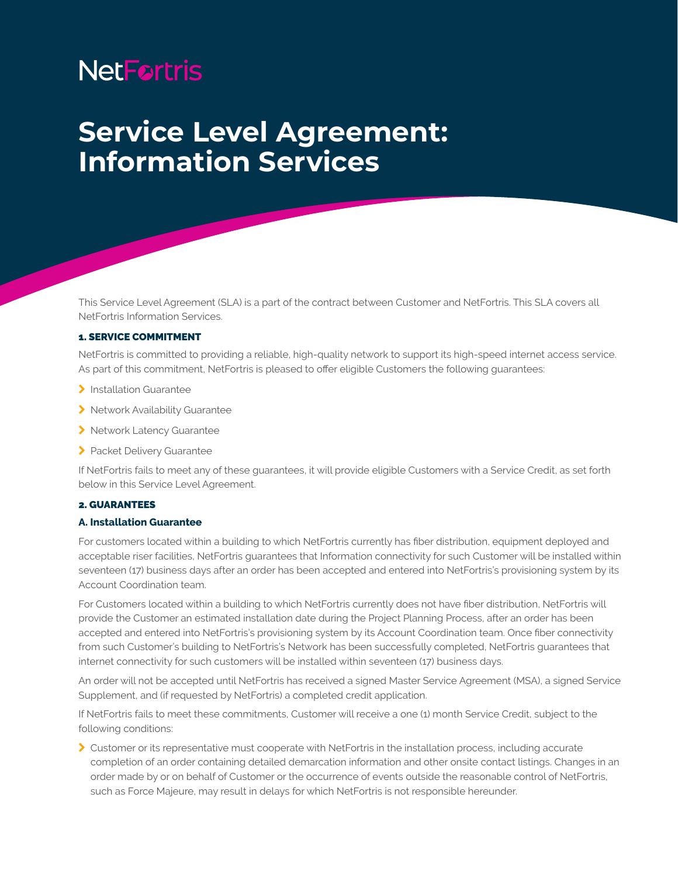# **NetFortris**

## **Service Level Agreement: Information Services**

This Service Level Agreement (SLA) is a part of the contract between Customer and NetFortris. This SLA covers all NetFortris Information Services.

#### 1. SERVICE COMMITMENT

NetFortris is committed to providing a reliable, high-quality network to support its high-speed internet access service. As part of this commitment, NetFortris is pleased to offer eligible Customers the following guarantees:

- > Installation Guarantee
- > Network Availability Guarantee
- > Network Latency Guarantee
- > Packet Delivery Guarantee

If NetFortris fails to meet any of these guarantees, it will provide eligible Customers with a Service Credit, as set forth below in this Service Level Agreement.

#### 2. GUARANTEES

#### **A. Installation Guarantee**

For customers located within a building to which NetFortris currently has fiber distribution, equipment deployed and acceptable riser facilities, NetFortris guarantees that Information connectivity for such Customer will be installed within seventeen (17) business days after an order has been accepted and entered into NetFortris's provisioning system by its Account Coordination team.

For Customers located within a building to which NetFortris currently does not have fiber distribution, NetFortris will provide the Customer an estimated installation date during the Project Planning Process, after an order has been accepted and entered into NetFortris's provisioning system by its Account Coordination team. Once fiber connectivity from such Customer's building to NetFortris's Network has been successfully completed, NetFortris guarantees that internet connectivity for such customers will be installed within seventeen (17) business days.

An order will not be accepted until NetFortris has received a signed Master Service Agreement (MSA), a signed Service Supplement, and (if requested by NetFortris) a completed credit application.

If NetFortris fails to meet these commitments, Customer will receive a one (1) month Service Credit, subject to the following conditions:

\ Customer or its representative must cooperate with NetFortris in the installation process, including accurate completion of an order containing detailed demarcation information and other onsite contact listings. Changes in an order made by or on behalf of Customer or the occurrence of events outside the reasonable control of NetFortris, such as Force Majeure, may result in delays for which NetFortris is not responsible hereunder.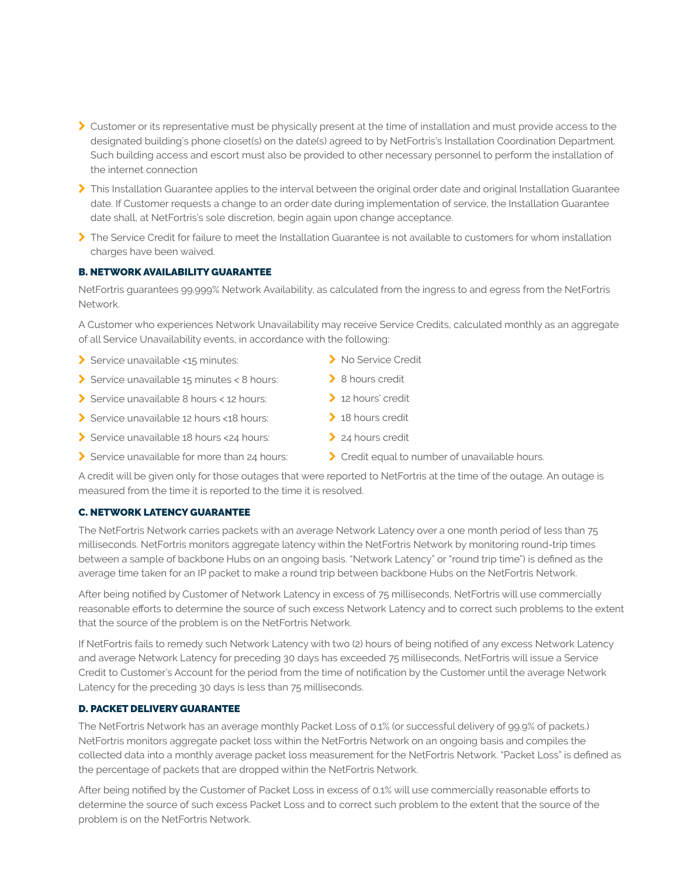- > Customer or its representative must be physically present at the time of installation and must provide access to the designated building's phone closet(s) on the date(s) agreed to by NetFortris's Installation Coordination Department. Such building access and escort must also be provided to other necessary personnel to perform the installation of the internet connection
- > This Installation Guarantee applies to the interval between the original order date and original Installation Guarantee date. If Customer requests a change to an order date during implementation of service, the Installation Guarantee date shall, at NetFortris's sole discretion, begin again upon change acceptance.
- $\triangleright$  The Service Credit for failure to meet the Installation Guarantee is not available to customers for whom installation charges have been waived.

## B. NETWORK AVAILABILITY GUARANTEE

NetFortris guarantees 99.999% Network Availability, as calculated from the ingress to and egress from the NetFortris Network.

A Customer who experiences Network Unavailability may receive Service Credits, calculated monthly as an aggregate of all Service Unavailability events, in accordance with the following:

- Service unavailable <15 minutes:
- $\blacktriangleright$  Service unavailable 15 minutes < 8 hours:
- Service unavailable 8 hours < 12 hours:
- Service unavailable 12 hours <18 hours:
- \ Service unavailable 18 hours <24 hours:
- Service unavailable for more than 24 hours:
- 
- > 12 hours' credit
- $\geq 18$  hours credit
- 
- $\triangleright$  Credit equal to number of unavailable hours.

A credit will be given only for those outages that were reported to NetFortris at the time of the outage. An outage is measured from the time it is reported to the time it is resolved.

## C. NETWORK LATENCY GUARANTEE

The NetFortris Network carries packets with an average Network Latency over a one month period of less than 75 milliseconds. NetFortris monitors aggregate latency within the NetFortris Network by monitoring round-trip times between a sample of backbone Hubs on an ongoing basis. "Network Latency" or "round trip time") is defined as the average time taken for an IP packet to make a round trip between backbone Hubs on the NetFortris Network.

After being notified by Customer of Network Latency in excess of 75 milliseconds, NetFortris will use commercially reasonable efforts to determine the source of such excess Network Latency and to correct such problems to the extent that the source of the problem is on the NetFortris Network.

If NetFortris fails to remedy such Network Latency with two (2) hours of being notified of any excess Network Latency and average Network Latency for preceding 30 days has exceeded 75 milliseconds, NetFortris will issue a Service Credit to Customer's Account for the period from the time of notification by the Customer until the average Network Latency for the preceding 30 days is less than 75 milliseconds.

## D. PACKET DELIVERY GUARANTEE

The NetFortris Network has an average monthly Packet Loss of 0.1% (or successful delivery of 99.9% of packets.) NetFortris monitors aggregate packet loss within the NetFortris Network on an ongoing basis and compiles the collected data into a monthly average packet loss measurement for the NetFortris Network. "Packet Loss" is defined as the percentage of packets that are dropped within the NetFortris Network.

After being notified by the Customer of Packet Loss in excess of 0.1% will use commercially reasonable efforts to determine the source of such excess Packet Loss and to correct such problem to the extent that the source of the problem is on the NetFortris Network.

- > No Service Credit
- > 8 hours credit
	-
	-
	- > 24 hours credit
	-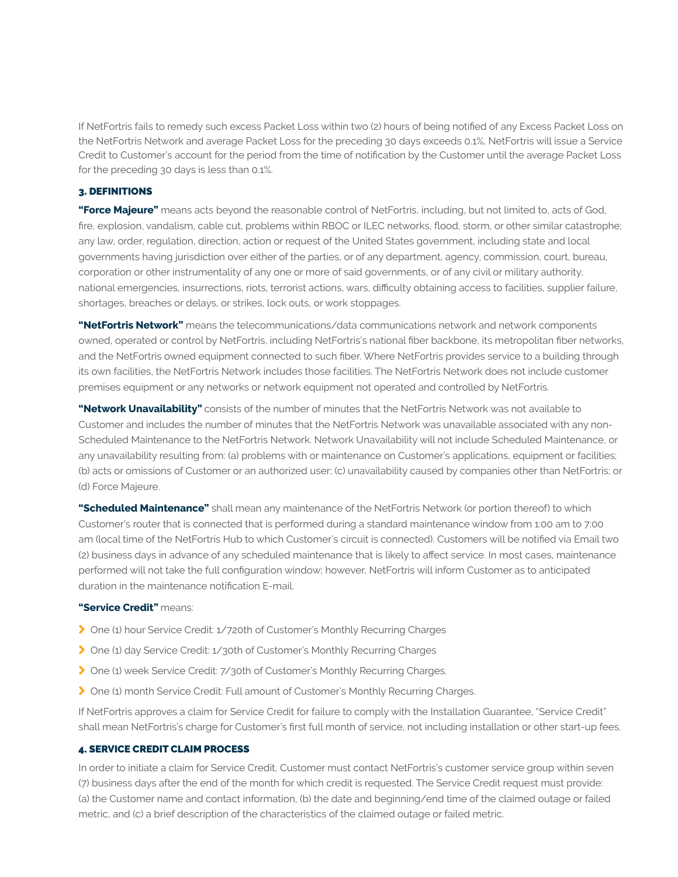If NetFortris fails to remedy such excess Packet Loss within two (2) hours of being notified of any Excess Packet Loss on the NetFortris Network and average Packet Loss for the preceding 30 days exceeds 0.1%, NetFortris will issue a Service Credit to Customer's account for the period from the time of notification by the Customer until the average Packet Loss for the preceding 30 days is less than 0.1%.

#### 3. DEFINITIONS

**"Force Majeure"** means acts beyond the reasonable control of NetFortris, including, but not limited to, acts of God, fire, explosion, vandalism, cable cut, problems within RBOC or ILEC networks, flood, storm, or other similar catastrophe; any law, order, regulation, direction, action or request of the United States government, including state and local governments having jurisdiction over either of the parties, or of any department, agency, commission, court, bureau, corporation or other instrumentality of any one or more of said governments, or of any civil or military authority, national emergencies, insurrections, riots, terrorist actions, wars, difficulty obtaining access to facilities, supplier failure, shortages, breaches or delays, or strikes, lock outs, or work stoppages.

**"NetFortris Network"** means the telecommunications/data communications network and network components owned, operated or control by NetFortris, including NetFortris's national fiber backbone, its metropolitan fiber networks, and the NetFortris owned equipment connected to such fiber. Where NetFortris provides service to a building through its own facilities, the NetFortris Network includes those facilities. The NetFortris Network does not include customer premises equipment or any networks or network equipment not operated and controlled by NetFortris.

**"Network Unavailability"** consists of the number of minutes that the NetFortris Network was not available to Customer and includes the number of minutes that the NetFortris Network was unavailable associated with any non-Scheduled Maintenance to the NetFortris Network. Network Unavailability will not include Scheduled Maintenance, or any unavailability resulting from: (a) problems with or maintenance on Customer's applications, equipment or facilities; (b) acts or omissions of Customer or an authorized user; (c) unavailability caused by companies other than NetFortris; or (d) Force Majeure.

**"Scheduled Maintenance"** shall mean any maintenance of the NetFortris Network (or portion thereof) to which Customer's router that is connected that is performed during a standard maintenance window from 1:00 am to 7:00 am (local time of the NetFortris Hub to which Customer's circuit is connected). Customers will be notified via Email two (2) business days in advance of any scheduled maintenance that is likely to affect service. In most cases, maintenance performed will not take the full configuration window; however, NetFortris will inform Customer as to anticipated duration in the maintenance notification E-mail.

#### **"Service Credit"** means:

- > One (1) hour Service Credit: 1/720th of Customer's Monthly Recurring Charges
- ◆ One (1) day Service Credit: 1/30th of Customer's Monthly Recurring Charges
- > One (1) week Service Credit: 7/30th of Customer's Monthly Recurring Charges.
- \ One (1) month Service Credit: Full amount of Customer's Monthly Recurring Charges.

If NetFortris approves a claim for Service Credit for failure to comply with the Installation Guarantee, "Service Credit" shall mean NetFortris's charge for Customer's first full month of service, not including installation or other start-up fees.

## 4. SERVICE CREDIT CLAIM PROCESS

In order to initiate a claim for Service Credit, Customer must contact NetFortris's customer service group within seven (7) business days after the end of the month for which credit is requested. The Service Credit request must provide: (a) the Customer name and contact information, (b) the date and beginning/end time of the claimed outage or failed metric, and (c) a brief description of the characteristics of the claimed outage or failed metric.